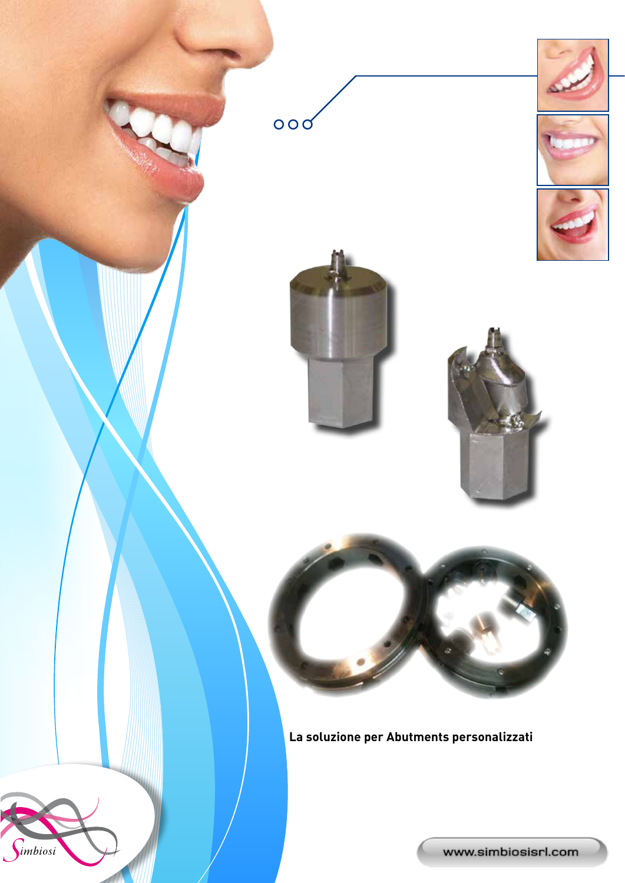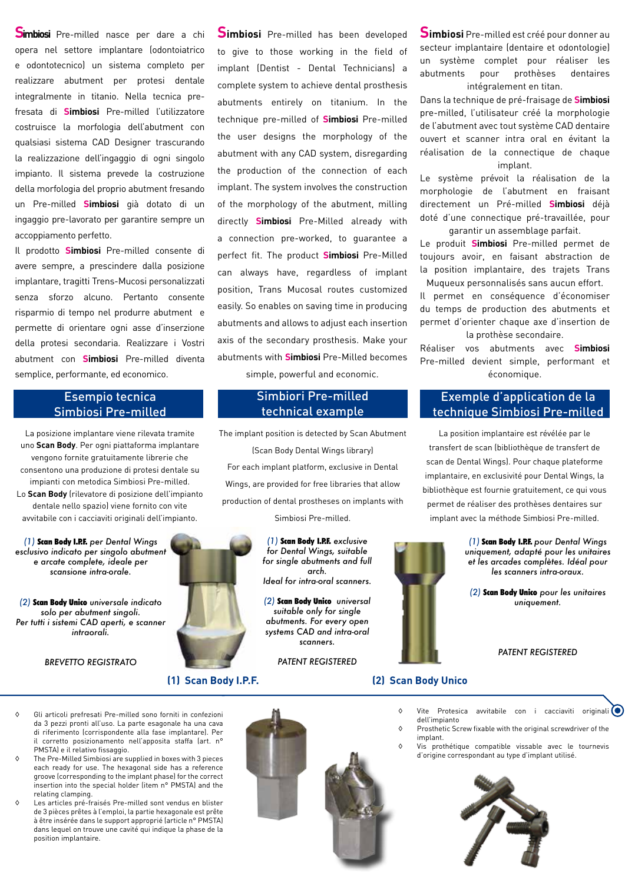**Simbiosi** Pre-milled nasce per dare a chi opera nel settore implantare (odontoiatrico e odontotecnico) un sistema completo per realizzare abutment per protesi dentale integralmente in titanio. Nella tecnica prefresata di **Simbiosi** Pre-milled l'utilizzatore costruisce la morfologia dell'abutment con qualsiasi sistema CAD Designer trascurando la realizzazione dell'ingaggio di ogni singolo impianto. Il sistema prevede la costruzione della morfologia del proprio abutment fresando un Pre-milled **Simbiosi** già dotato di un ingaggio pre-lavorato per garantire sempre un accoppiamento perfetto.

Il prodotto **Simbiosi** Pre-milled consente di avere sempre, a prescindere dalla posizione implantare, tragitti Trens-Mucosi personalizzati senza sforzo alcuno. Pertanto consente risparmio di tempo nel produrre abutment e permette di orientare ogni asse d'inserzione della protesi secondaria. Realizzare i Vostri abutment con **Simbiosi** Pre-milled diventa semplice, performante, ed economico.

# Esempio tecnica Simbiosi Pre-milled

La posizione implantare viene rilevata tramite uno **Scan Body**. Per ogni piattaforma implantare vengono fornite gratuitamente librerie che consentono una produzione di protesi dentale su impianti con metodica Simbiosi Pre-milled. Lo **Scan Body** (rilevatore di posizione dell'impianto dentale nello spazio) viene fornito con vite avvitabile con i cacciaviti originali dell'impianto.

*(1)* Scan Body I.P.F. *per Dental Wings esclusivo indicato per singolo abutment e arcate complete, ideale per scansione intra-orale.*

*(2)* Scan Body Unico *universale indicato solo per abutment singoli. Per tutti i sistemi CAD aperti, e scanner intraorali.*

*BREVETTO REGISTRATO*

**Simbiosi** Pre-milled has been developed to give to those working in the field of implant (Dentist - Dental Technicians) a complete system to achieve dental prosthesis abutments entirely on titanium. In the technique pre-milled of **Simbiosi** Pre-milled the user designs the morphology of the abutment with any CAD system, disregarding the production of the connection of each implant. The system involves the construction of the morphology of the abutment, milling directly **Simbiosi** Pre-Milled already with a connection pre-worked, to guarantee a perfect fit. The product **Simbiosi** Pre-Milled can always have, regardless of implant position, Trans Mucosal routes customized easily. So enables on saving time in producing abutments and allows to adjust each insertion axis of the secondary prosthesis. Make your abutments with **Simbiosi** Pre-Milled becomes simple, powerful and economic.

## Simbiori Pre-milled technical example

The implant position is detected by Scan Abutment (Scan Body Dental Wings library) For each implant platform, exclusive in Dental Wings, are provided for free libraries that allow production of dental prostheses on implants with Simbiosi Pre-milled.

> *(1)* Scan Body I.P.F. *exclusive for Dental Wings, suitable for single abutments and full arch. Ideal for intra-oral scanners.*

*(2)* Scan Body Unico *universal suitable only for single abutments. For every open systems CAD and intra-oral scanners.*

*PATENT REGISTERED*

**Simbiosi** Pre-milled est créé pour donner au secteur implantaire (dentaire et odontologie) un système complet pour réaliser les abutments pour prothèses dentaires intégralement en titan.

Dans la technique de pré-fraisage de **Simbiosi** pre-milled, l'utilisateur créé la morphologie de l'abutment avec tout système CAD dentaire ouvert et scanner intra oral en évitant la réalisation de la connectique de chaque implant.

Le système prévoit la réalisation de la morphologie de l'abutment en fraisant directement un Pré-milled **Simbiosi** déjà doté d'une connectique pré-travaillée, pour garantir un assemblage parfait.

Le produit **Simbiosi** Pre-milled permet de toujours avoir, en faisant abstraction de la position implantaire, des trajets Trans Muqueux personnalisés sans aucun effort.

Il permet en conséquence d'économiser du temps de production des abutments et permet d'orienter chaque axe d'insertion de la prothèse secondaire.

Réaliser vos abutments avec **Simbiosi** Pre-milled devient simple, performant et économique.

# Exemple d'application de la technique Simbiosi Pre-milled

La position implantaire est révélée par le transfert de scan (bibliothèque de transfert de scan de Dental Wings). Pour chaque plateforme implantaire, en exclusivité pour Dental Wings, la bibliothèque est fournie gratuitement, ce qui vous permet de réaliser des prothèses dentaires sur implant avec la méthode Simbiosi Pre-milled.

> *(1)* Scan Body I.P.F. *pour Dental Wings uniquement, adapté pour les unitaires et les arcades complètes. Idéal pour les scanners intra-oraux.*

*(2)* Scan Body Unico *pour les unitaires uniquement.*

#### *PATENT REGISTERED*

- ◊ Gli articoli prefresati Pre-milled sono forniti in confezioni da 3 pezzi pronti all'uso. La parte esagonale ha una cava di riferimento (corrispondente alla fase implantare). Per il corretto posizionamento nell'apposita staffa (art. n° PMSTA) e il relativo fissaggio.
- The Pre-Milled Simbiosi are supplied in boxes with 3 pieces each ready for use. The hexagonal side has a reference groove (corresponding to the implant phase) for the correct insertion into the special holder (item n° PMSTA) and the relating clamping.
- Les articles pré-fraisés Pre-milled sont vendus en blister de 3 pièces prêtes à l'emploi, la partie hexagonale est prête à être insérée dans le support approprié (article n° PMSTA) dans lequel on trouve une cavité qui indique la phase de la position implantaire.



- ◊ Vite Protesica avvitabile con i cacciaviti originali dell'impianto ◊ Prosthetic Screw fixable with the original screwdriver of the
	- implant.
- ◊ Vis prothétique compatible vissable avec le tournevis d'origine correspondant au type d'implant utilisé.



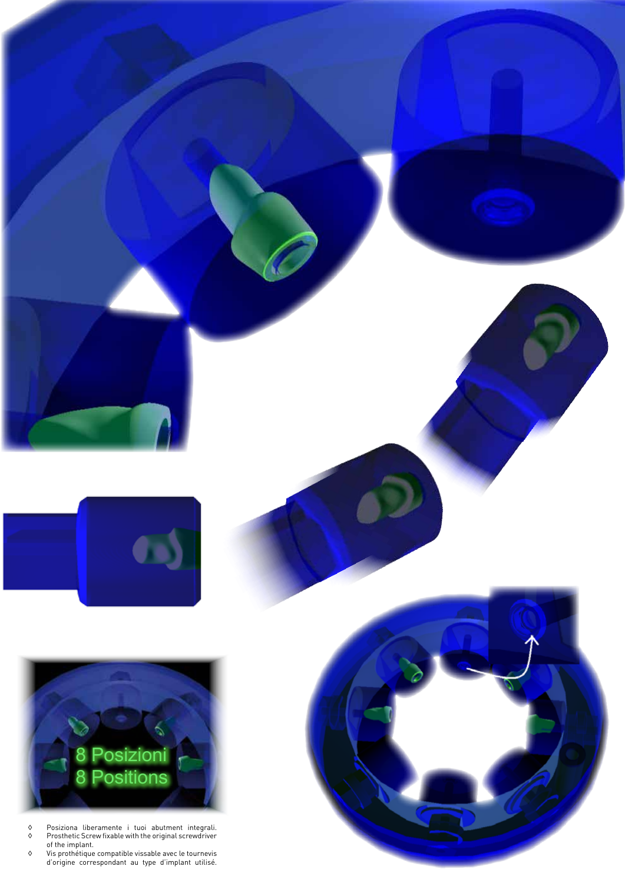



- ◊ Posiziona liberamente i tuoi abutment integrali. ◊ Prosthetic Screw fixable with the original screwdriver of the implant.
- ◊ Vis prothétique compatible vissable avec le tournevis d'origine correspondant au type d'implant utilisé.

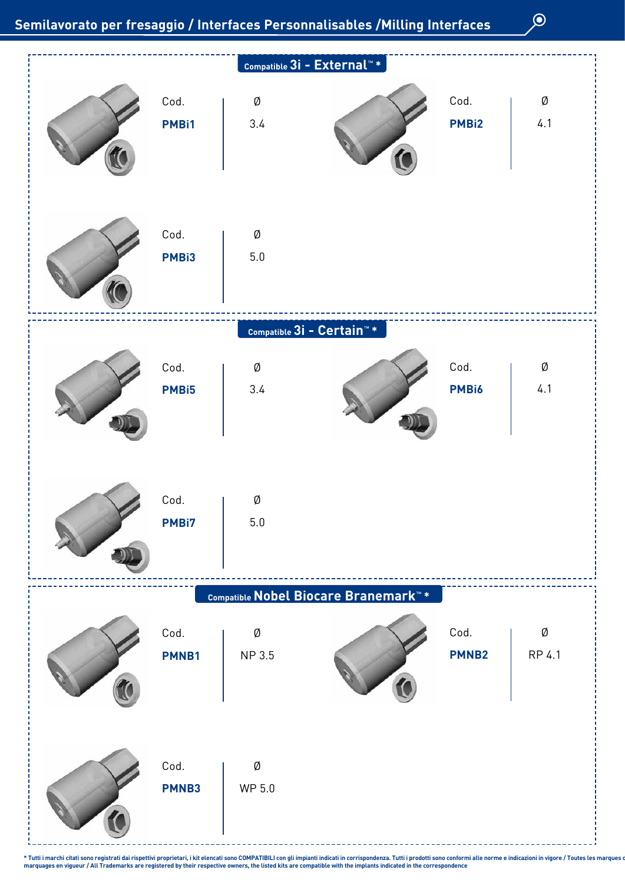$\odot$ 



\* Tutti i marchi citati sono registrati dai rispettivi proprietari, i kit elencati sono COMPATIBILI con gli impianti indicati in corrispondenza. Tutti i prodotti sono conformi alle norme e indicazioni in vigore / Toutes le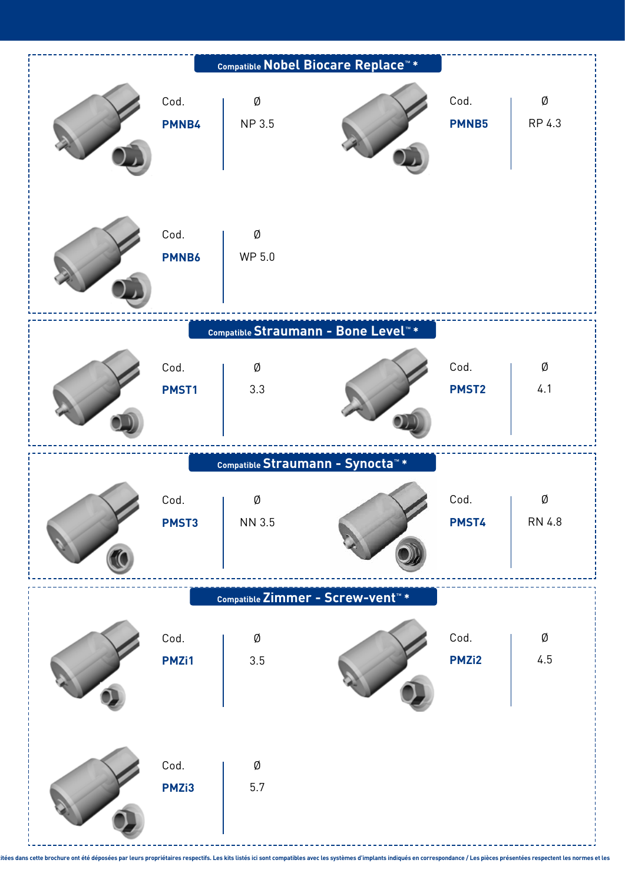|               |              | Compatible Nobel Biocare Replace™ *             |                           |             |
|---------------|--------------|-------------------------------------------------|---------------------------|-------------|
| Cod.<br>PMNB4 | Ø<br>NP 3.5  |                                                 | Cod.<br><b>PMNB5</b>      | Ø<br>RP 4.3 |
| Cod.<br>PMNB6 | Ø<br>WP 5.0  |                                                 |                           |             |
|               |              | Compatible Straumann - Bone Level <sup>**</sup> |                           | Ø           |
| Cod.<br>PMST1 | Ø<br>3.3     |                                                 | Cod.<br>PMST <sub>2</sub> | 4.1         |
|               |              |                                                 |                           |             |
|               |              | Compatible Straumann - Synocta <sup>"*</sup>    |                           |             |
| Cod.<br>PMST3 | Ø<br>NN 3.5  |                                                 | Cod.<br>PMST4             | Ø<br>RN 4.8 |
|               |              | Compatible Zimmer - Screw-vent <sup>™</sup> *   |                           |             |
| Cod.<br>PMZi1 | Ø<br>$3.5\,$ |                                                 | Cod.<br>PMZi2             | Ø<br>4.5    |

itées dans cette brochure ont été déposées par leurs propriétaires respectifs. Les kits listés ici sont compatibles avec les systèmes d'implants indiqués en correspondance / Les pièces présentées respectent les normes et l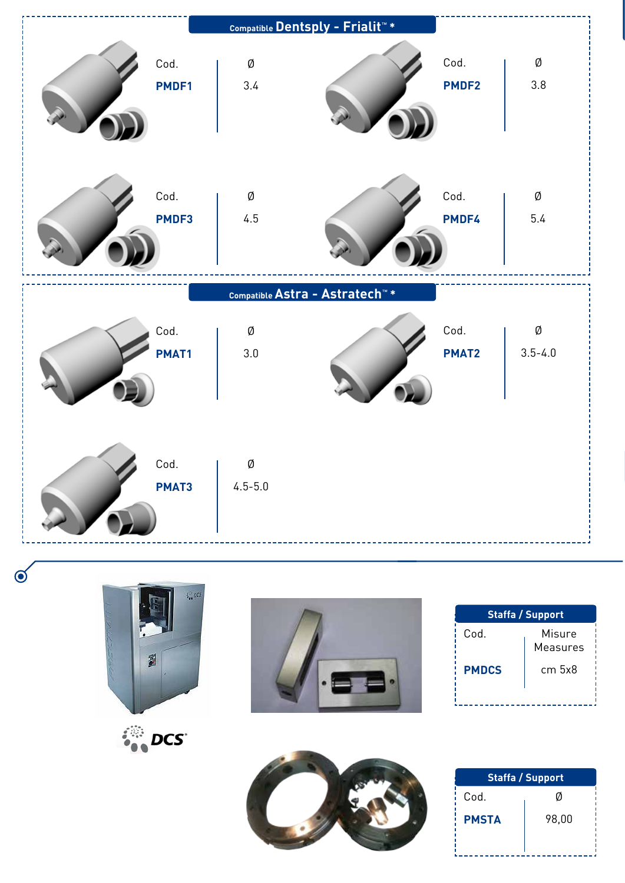







| <b>Staffa / Support</b> |                    |  |  |  |  |  |  |
|-------------------------|--------------------|--|--|--|--|--|--|
| Cod.                    | Misure<br>Measures |  |  |  |  |  |  |
| <b>PMDCS</b>            | cm <sub>5x8</sub>  |  |  |  |  |  |  |
|                         |                    |  |  |  |  |  |  |



| <b>Staffa / Support</b> |       |  |  |  |  |  |  |
|-------------------------|-------|--|--|--|--|--|--|
| Cod.                    | Ø     |  |  |  |  |  |  |
| <b>PMSTA</b>            | 98,00 |  |  |  |  |  |  |
|                         |       |  |  |  |  |  |  |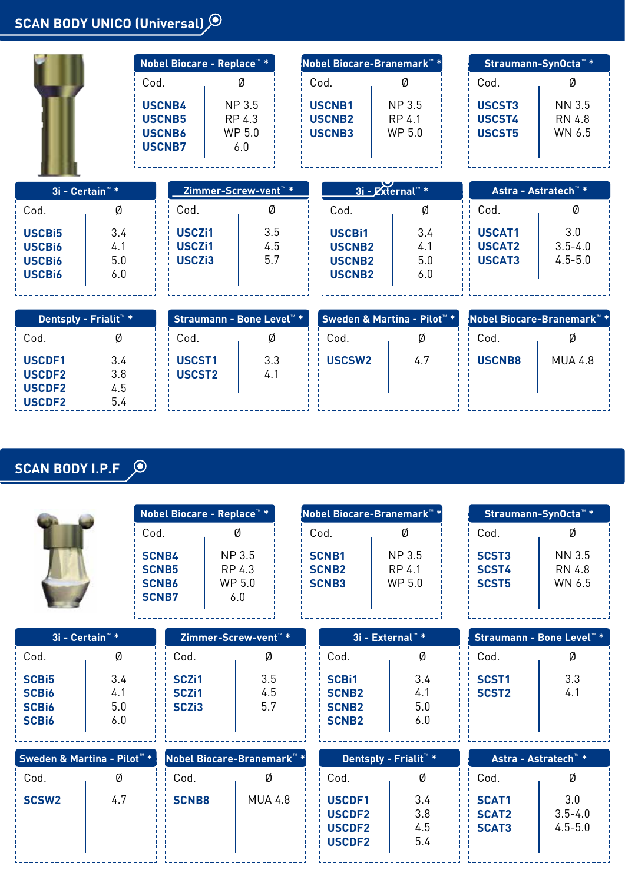# **SCAN BODY UNICO (Universal)**

|                                                                       |                                   | Nobel Biocare - Replace™ *                                       |                                      |                   | Nobel Biocare-Branemark <sup>™</sup> * |                                                                  |                                         | Straumann-SynOcta <sup>™</sup> * |                                        |                                   |
|-----------------------------------------------------------------------|-----------------------------------|------------------------------------------------------------------|--------------------------------------|-------------------|----------------------------------------|------------------------------------------------------------------|-----------------------------------------|----------------------------------|----------------------------------------|-----------------------------------|
| Cod.                                                                  |                                   |                                                                  | Ø                                    |                   |                                        | Cod.                                                             | Ø                                       |                                  | Cod.                                   | Ø                                 |
|                                                                       |                                   | <b>USCNB4</b><br><b>USCNB5</b><br><b>USCNB6</b><br><b>USCNB7</b> | NP 3.5<br>RP 4.3<br>WP 5.0<br>6.0    |                   |                                        | <b>USCNB1</b><br><b>USCNB2</b><br><b>USCNB3</b>                  | <b>NP3.5</b><br>RP 4.1<br>WP 5.0        |                                  | USCST3<br>USCST4<br>USCST5             | NN 3.5<br>RN 4.8<br>WN 6.5        |
| 3i - Certain™ *                                                       |                                   |                                                                  | Zimmer-Screw-vent <sup>™</sup> *     |                   |                                        |                                                                  | 3i - External <sup>"</sup> *            |                                  | Astra - Astratech <sup>™</sup> *       |                                   |
| Cod.                                                                  | Ø                                 |                                                                  | Cod.                                 | Ø                 |                                        | Cod.                                                             | Ø                                       |                                  | Cod.                                   | Ø                                 |
| <b>USCBi5</b><br><b>USCBi6</b><br><b>USCBi6</b><br>USCB <sub>i6</sub> | 3.4<br>4.1<br>5.0<br>6.0          |                                                                  | USCZi1<br>USCZi1<br>USCZi3           | 3.5<br>4.5<br>5.7 |                                        | <b>USCBi1</b><br><b>USCNB2</b><br><b>USCNB2</b><br><b>USCNB2</b> | 3.4<br>4.1<br>5.0<br>6.0                |                                  | USCAT1<br><b>USCAT2</b><br>USCAT3      | 3.0<br>$3.5 - 4.0$<br>$4.5 - 5.0$ |
|                                                                       | Dentsply - Frialit <sup>*</sup> * |                                                                  | Straumann - Bone Level <sup>™*</sup> |                   |                                        |                                                                  | Sweden & Martina - Pilot <sup>™</sup> * |                                  | Nobel Biocare-Branemark <sup>™</sup> * |                                   |
| Cod.                                                                  | Ø                                 |                                                                  | Cod.                                 | Ø                 |                                        | Cod.                                                             | Ø                                       |                                  | Cod.                                   | Ø                                 |
| USCDF1<br><b>USCDF2</b><br><b>USCDF2</b><br><b>USCDF2</b>             | 3.4<br>3.8<br>4.5<br>5.4          |                                                                  | USCST1<br>USCST2                     | 3.3<br>4.1        |                                        | USCSW2                                                           | 4.7                                     |                                  | <b>USCNB8</b>                          | <b>MUA 4.8</b>                    |

# **SCAN BODY I.P.F**

|                                                                   |                          |                                                              | Nobel Biocare - Replace™ *                                  |   |                                              |  | Nobel Biocare-Branemark™                                     |                                                           |   |                                     |                            | Straumann-SynOcta <sup>™</sup> *             |                                   |  |
|-------------------------------------------------------------------|--------------------------|--------------------------------------------------------------|-------------------------------------------------------------|---|----------------------------------------------|--|--------------------------------------------------------------|-----------------------------------------------------------|---|-------------------------------------|----------------------------|----------------------------------------------|-----------------------------------|--|
|                                                                   |                          | Cod.                                                         | Ø                                                           |   |                                              |  | Cod.                                                         |                                                           | Ø |                                     | Cod.                       | Ø                                            |                                   |  |
|                                                                   |                          | <b>SCNB4</b><br><b>SCNB5</b><br><b>SCNB6</b><br><b>SCNB7</b> | NP 3.5<br>RP 4.3<br>WP 5.0<br>6.0                           |   | <b>SCNB1</b><br><b>SCNB2</b><br><b>SCNB3</b> |  | NP 3.5<br>RP 4.1<br>WP 5.0                                   |                                                           |   | SCST3<br>SCST4<br>SCST <sub>5</sub> | NN 3.5<br>RN 4.8<br>WN 6.5 |                                              |                                   |  |
| 3i - Certain <sup>**</sup>                                        |                          |                                                              | Zimmer-Screw-vent <sup>™</sup> *                            |   |                                              |  |                                                              |                                                           |   | 3i - External <sup>™</sup> *        |                            | Straumann - Bone Level <sup>™</sup> *        |                                   |  |
| Cod.                                                              | Ø                        |                                                              | Cod.                                                        | Ø |                                              |  |                                                              | Cod.                                                      |   | Ø                                   |                            | Cod.                                         | Ø                                 |  |
| <b>SCBi5</b><br><b>SCBi6</b><br><b>SCBi6</b><br>SCB <sub>i6</sub> | 3.4<br>4.1<br>5.0<br>6.0 |                                                              | SCZ <sub>i1</sub><br>SCZ <sub>i1</sub><br>SCZ <sub>i3</sub> |   | 3.5<br>4.5<br>5.7                            |  | <b>SCBi1</b><br><b>SCNB2</b><br><b>SCNB2</b><br><b>SCNB2</b> |                                                           |   | 3.4<br>4.1<br>5.0<br>6.0            |                            | SCST <sub>1</sub><br>SCST <sub>2</sub>       | 3.3<br>4.1                        |  |
|                                                                   |                          |                                                              |                                                             |   |                                              |  |                                                              |                                                           |   |                                     |                            |                                              |                                   |  |
| Sweden & Martina - Pilot <sup>™</sup> *                           |                          |                                                              | Nobel Biocare-Branemark <sup>™</sup> *                      |   |                                              |  |                                                              | Dentsply - Frialit <sup>™</sup> *                         |   |                                     |                            | Astra - Astratech <sup>™</sup> *             |                                   |  |
| Cod.                                                              | Ø                        |                                                              | Cod.                                                        |   | Ø                                            |  | Cod.                                                         |                                                           |   | Ø                                   |                            | Cod.                                         | Ø                                 |  |
| <b>SCSW2</b>                                                      | 4.7                      |                                                              | <b>SCNB8</b>                                                |   | <b>MUA 4.8</b>                               |  |                                                              | USCDF1<br><b>USCDF2</b><br><b>USCDF2</b><br><b>USCDF2</b> |   | 3.4<br>3.8<br>4.5<br>5.4            |                            | <b>SCAT1</b><br><b>SCAT2</b><br><b>SCAT3</b> | 3.0<br>$3.5 - 4.0$<br>$4.5 - 5.0$ |  |